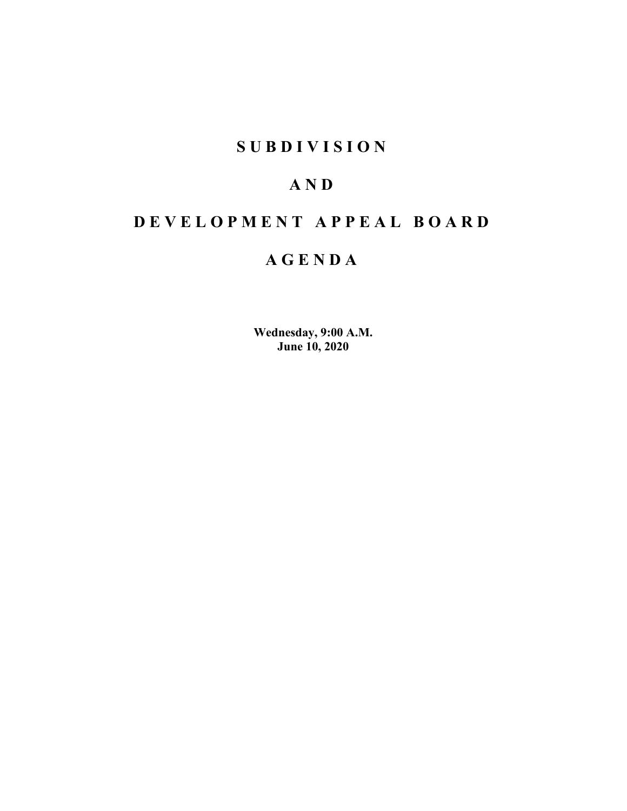## **SUBDIVISION**

## **AND**

# **DEVELOPMENT APPEAL BOARD**

# **AGENDA**

**Wednesday, 9:00 A.M. June 10, 2020**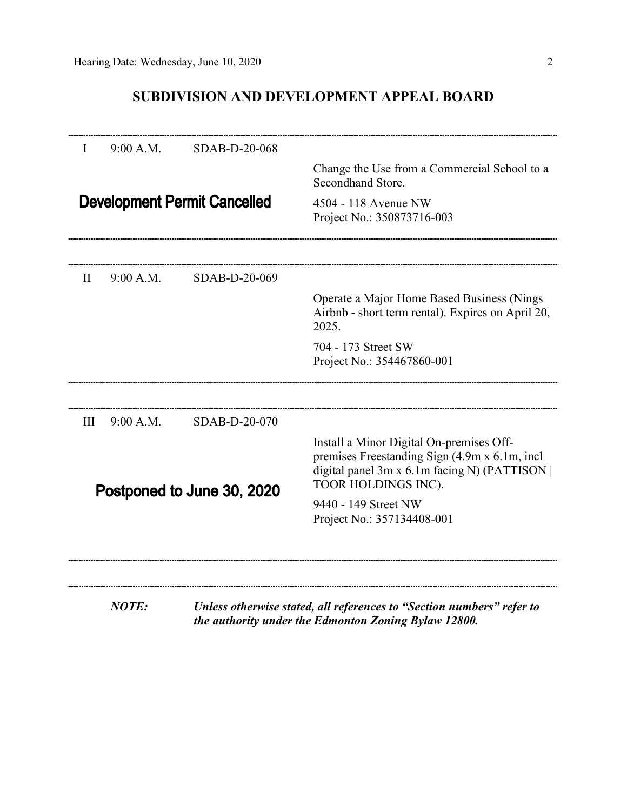## **SUBDIVISION AND DEVELOPMENT APPEAL BOARD**

| I            | 9:00 A.M.                  | SDAB-D-20-068                       |                                                                                                                                                                   |
|--------------|----------------------------|-------------------------------------|-------------------------------------------------------------------------------------------------------------------------------------------------------------------|
|              |                            |                                     | Change the Use from a Commercial School to a<br>Secondhand Store.                                                                                                 |
|              |                            | <b>Development Permit Cancelled</b> | 4504 - 118 Avenue NW<br>Project No.: 350873716-003                                                                                                                |
| $\mathbf{I}$ | 9:00 A.M.                  | SDAB-D-20-069                       |                                                                                                                                                                   |
|              |                            |                                     | Operate a Major Home Based Business (Nings<br>Airbnb - short term rental). Expires on April 20,<br>2025.                                                          |
|              |                            |                                     | 704 - 173 Street SW<br>Project No.: 354467860-001                                                                                                                 |
| Ш            | 9:00 A.M.                  | SDAB-D-20-070                       |                                                                                                                                                                   |
|              | Postponed to June 30, 2020 |                                     | Install a Minor Digital On-premises Off-<br>premises Freestanding Sign (4.9m x 6.1m, incl<br>digital panel 3m x 6.1m facing N) (PATTISON  <br>TOOR HOLDINGS INC). |
|              |                            |                                     | 9440 - 149 Street NW<br>Project No.: 357134408-001                                                                                                                |
|              |                            |                                     |                                                                                                                                                                   |
|              | <b>NOTE:</b>               |                                     | Unless otherwise stated, all references to "Section numbers" refer to<br>the authority under the Edmonton Zoning Bylaw 12800.                                     |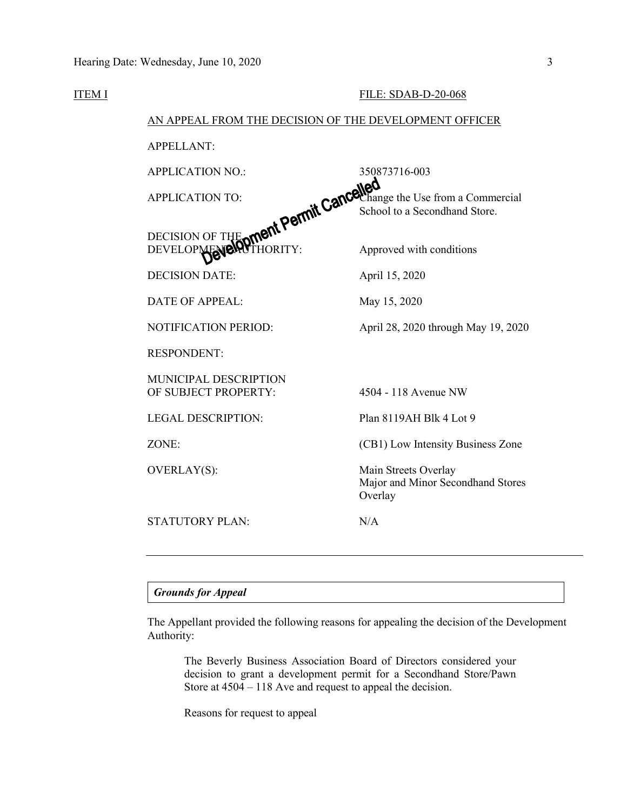| ITEM I |                                                                                                                                                    | <b>FILE: SDAB-D-20-068</b>                                           |
|--------|----------------------------------------------------------------------------------------------------------------------------------------------------|----------------------------------------------------------------------|
|        | AN APPEAL FROM THE DECISION OF THE DEVELOPMENT OFFICER                                                                                             |                                                                      |
|        | APPELLANT:                                                                                                                                         |                                                                      |
|        |                                                                                                                                                    |                                                                      |
|        |                                                                                                                                                    |                                                                      |
|        | 350873716-003<br>DECISION OF THE OTTER PETTITE Cancellange the Use from a Commercial<br>DEVELOP NEVELOP THE OTTER THE SCHOOL CANCEL CAN SECONDATE: |                                                                      |
|        |                                                                                                                                                    |                                                                      |
|        | DATE OF APPEAL:                                                                                                                                    | May 15, 2020                                                         |
|        | NOTIFICATION PERIOD:                                                                                                                               | April 28, 2020 through May 19, 2020                                  |
|        | <b>RESPONDENT:</b>                                                                                                                                 |                                                                      |
|        | <b>MUNICIPAL DESCRIPTION</b><br>OF SUBJECT PROPERTY:                                                                                               | 4504 - 118 Avenue NW                                                 |
|        | <b>LEGAL DESCRIPTION:</b>                                                                                                                          | Plan 8119AH Blk 4 Lot 9                                              |
|        | ZONE:                                                                                                                                              | (CB1) Low Intensity Business Zone                                    |
|        | OVERLAY(S):                                                                                                                                        | Main Streets Overlay<br>Major and Minor Secondhand Stores<br>Overlay |
|        | <b>STATUTORY PLAN:</b>                                                                                                                             | N/A                                                                  |
|        |                                                                                                                                                    |                                                                      |

*Grounds for Appeal*

The Appellant provided the following reasons for appealing the decision of the Development Authority:

The Beverly Business Association Board of Directors considered your decision to grant a development permit for a Secondhand Store/Pawn Store at  $4504 - 118$  Ave and request to appeal the decision.

Reasons for request to appeal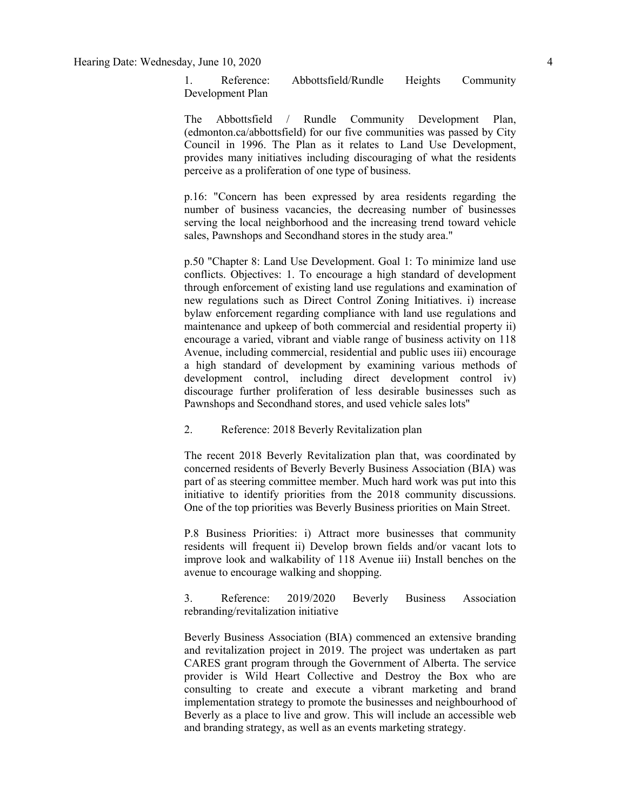Hearing Date: Wednesday, June 10, 2020 4

1. Reference: Abbottsfield/Rundle Heights Community Development Plan

The Abbottsfield / Rundle Community Development Plan, (edmonton.ca/abbottsfield) for our five communities was passed by City Council in 1996. The Plan as it relates to Land Use Development, provides many initiatives including discouraging of what the residents perceive as a proliferation of one type of business.

p.16: "Concern has been expressed by area residents regarding the number of business vacancies, the decreasing number of businesses serving the local neighborhood and the increasing trend toward vehicle sales, Pawnshops and Secondhand stores in the study area."

p.50 "Chapter 8: Land Use Development. Goal 1: To minimize land use conflicts. Objectives: 1. To encourage a high standard of development through enforcement of existing land use regulations and examination of new regulations such as Direct Control Zoning Initiatives. i) increase bylaw enforcement regarding compliance with land use regulations and maintenance and upkeep of both commercial and residential property ii) encourage a varied, vibrant and viable range of business activity on 118 Avenue, including commercial, residential and public uses iii) encourage a high standard of development by examining various methods of development control, including direct development control iv) discourage further proliferation of less desirable businesses such as Pawnshops and Secondhand stores, and used vehicle sales lots"

2. Reference: 2018 Beverly Revitalization plan

The recent 2018 Beverly Revitalization plan that, was coordinated by concerned residents of Beverly Beverly Business Association (BIA) was part of as steering committee member. Much hard work was put into this initiative to identify priorities from the 2018 community discussions. One of the top priorities was Beverly Business priorities on Main Street.

P.8 Business Priorities: i) Attract more businesses that community residents will frequent ii) Develop brown fields and/or vacant lots to improve look and walkability of 118 Avenue iii) Install benches on the avenue to encourage walking and shopping.

3. Reference: 2019/2020 Beverly Business Association rebranding/revitalization initiative

Beverly Business Association (BIA) commenced an extensive branding and revitalization project in 2019. The project was undertaken as part CARES grant program through the Government of Alberta. The service provider is Wild Heart Collective and Destroy the Box who are consulting to create and execute a vibrant marketing and brand implementation strategy to promote the businesses and neighbourhood of Beverly as a place to live and grow. This will include an accessible web and branding strategy, as well as an events marketing strategy.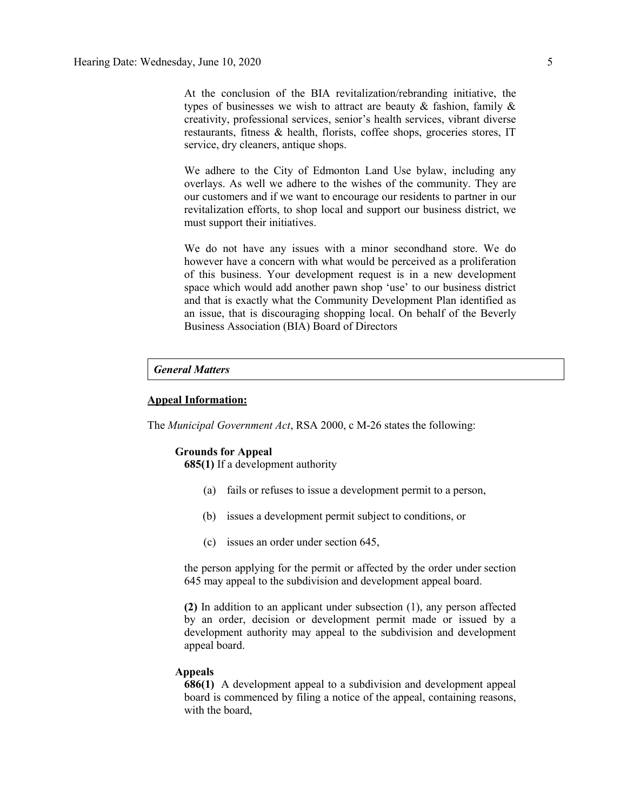At the conclusion of the BIA revitalization/rebranding initiative, the types of businesses we wish to attract are beauty  $\&$  fashion, family  $\&$ creativity, professional services, senior's health services, vibrant diverse restaurants, fitness & health, florists, coffee shops, groceries stores, IT service, dry cleaners, antique shops.

We adhere to the City of Edmonton Land Use bylaw, including any overlays. As well we adhere to the wishes of the community. They are our customers and if we want to encourage our residents to partner in our revitalization efforts, to shop local and support our business district, we must support their initiatives.

We do not have any issues with a minor secondhand store. We do however have a concern with what would be perceived as a proliferation of this business. Your development request is in a new development space which would add another pawn shop 'use' to our business district and that is exactly what the Community Development Plan identified as an issue, that is discouraging shopping local. On behalf of the Beverly Business Association (BIA) Board of Directors

#### *General Matters*

#### **Appeal Information:**

The *Municipal Government Act*, RSA 2000, c M-26 states the following:

#### **Grounds for Appeal**

**685(1)** If a development authority

- (a) fails or refuses to issue a development permit to a person,
- (b) issues a development permit subject to conditions, or
- (c) issues an order under section 645,

the person applying for the permit or affected by the order under section 645 may appeal to the subdivision and development appeal board.

**(2)** In addition to an applicant under subsection (1), any person affected by an order, decision or development permit made or issued by a development authority may appeal to the subdivision and development appeal board.

#### **Appeals**

**686(1)** A development appeal to a subdivision and development appeal board is commenced by filing a notice of the appeal, containing reasons, with the board,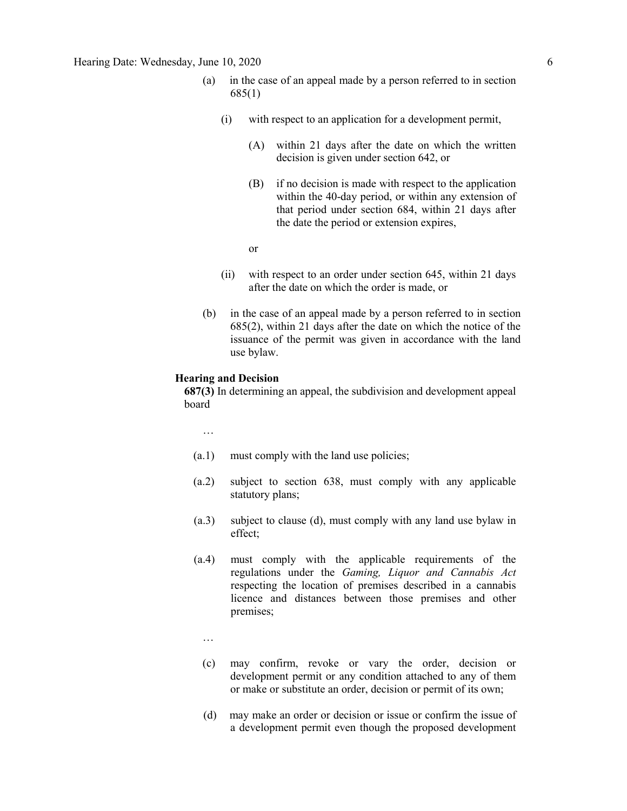- (a) in the case of an appeal made by a person referred to in section 685(1)
	- (i) with respect to an application for a development permit,
		- (A) within 21 days after the date on which the written decision is given under section 642, or
		- (B) if no decision is made with respect to the application within the 40-day period, or within any extension of that period under section 684, within 21 days after the date the period or extension expires,
		- or
	- (ii) with respect to an order under section 645, within 21 days after the date on which the order is made, or
- (b) in the case of an appeal made by a person referred to in section 685(2), within 21 days after the date on which the notice of the issuance of the permit was given in accordance with the land use bylaw.

#### **Hearing and Decision**

**687(3)** In determining an appeal, the subdivision and development appeal board

…

- (a.1) must comply with the land use policies;
- (a.2) subject to section 638, must comply with any applicable statutory plans;
- (a.3) subject to clause (d), must comply with any land use bylaw in effect;
- (a.4) must comply with the applicable requirements of the regulations under the *Gaming, Liquor and Cannabis Act* respecting the location of premises described in a cannabis licence and distances between those premises and other premises;
	- …
	- (c) may confirm, revoke or vary the order, decision or development permit or any condition attached to any of them or make or substitute an order, decision or permit of its own;
	- (d) may make an order or decision or issue or confirm the issue of a development permit even though the proposed development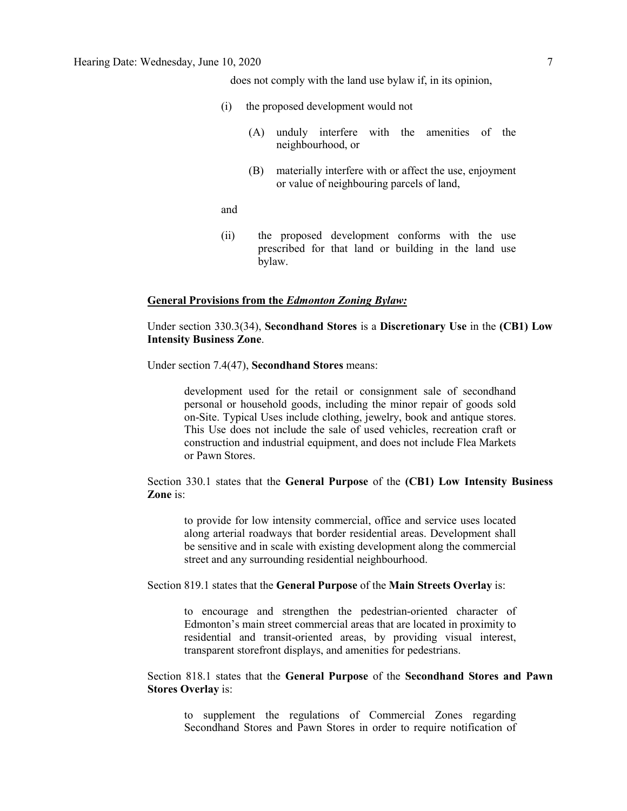does not comply with the land use bylaw if, in its opinion,

- (i) the proposed development would not
	- (A) unduly interfere with the amenities of the neighbourhood, or
	- (B) materially interfere with or affect the use, enjoyment or value of neighbouring parcels of land,

and

(ii) the proposed development conforms with the use prescribed for that land or building in the land use bylaw.

#### **General Provisions from the** *Edmonton Zoning Bylaw:*

Under section 330.3(34), **Secondhand Stores** is a **Discretionary Use** in the **(CB1) Low Intensity Business Zone**.

Under section 7.4(47), **Secondhand Stores** means:

development used for the retail or consignment sale of secondhand personal or household goods, including the minor repair of goods sold on-Site. Typical Uses include clothing, jewelry, book and antique stores. This Use does not include the sale of used vehicles, recreation craft or construction and industrial equipment, and does not include Flea Markets or Pawn Stores.

Section 330.1 states that the **General Purpose** of the **(CB1) Low Intensity Business Zone** is:

to provide for low intensity commercial, office and service uses located along arterial roadways that border residential areas. Development shall be sensitive and in scale with existing development along the commercial street and any surrounding residential neighbourhood.

Section 819.1 states that the **General Purpose** of the **Main Streets Overlay** is:

to encourage and strengthen the pedestrian-oriented character of Edmonton's main street commercial areas that are located in proximity to residential and transit-oriented areas, by providing visual interest, transparent storefront displays, and amenities for pedestrians.

Section 818.1 states that the **General Purpose** of the **Secondhand Stores and Pawn Stores Overlay** is:

to supplement the regulations of Commercial Zones regarding Secondhand Stores and Pawn Stores in order to require notification of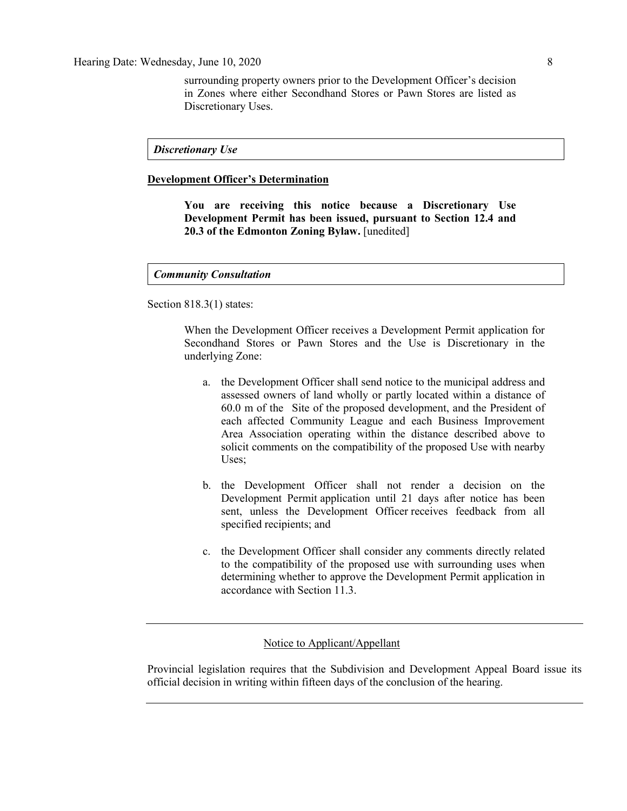surrounding property owners prior to the Development Officer's decision in Zones where either Secondhand Stores or Pawn Stores are listed as Discretionary Uses.

*Discretionary Use*

### **Development Officer's Determination**

**You are receiving this notice because a Discretionary Use Development Permit has been issued, pursuant to Section 12.4 and 20.3 of the Edmonton Zoning Bylaw.** [unedited]

#### *Community Consultation*

Section 818.3(1) states:

When the Development Officer receives a Development Permit application for Secondhand Stores or Pawn Stores and the Use is Discretionary in the underlying Zone:

- a. the Development Officer shall send notice to the municipal address and assessed owners of land wholly or partly located within a distance of 60.0 m of the Site of the proposed development, and the President of each affected Community League and each Business Improvement Area Association operating within the distance described above to solicit comments on the compatibility of the proposed Use with nearby Uses;
- b. the Development Officer shall not render a decision on the Development Permit application until 21 days after notice has been sent, unless the Development Officer receives feedback from all specified recipients; and
- c. the Development Officer shall consider any comments directly related to the compatibility of the proposed use with surrounding uses when determining whether to approve the Development Permit application in accordance with Section 11.3.

Notice to Applicant/Appellant

Provincial legislation requires that the Subdivision and Development Appeal Board issue its official decision in writing within fifteen days of the conclusion of the hearing.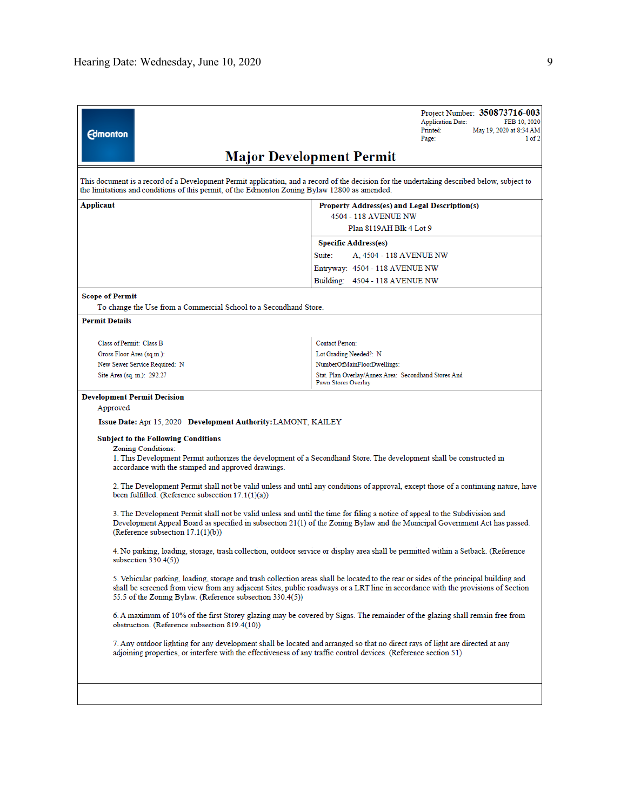| <b>Edmonton</b>                                                                               | Project Number: 350873716-003<br><b>Application Date:</b><br>FEB 10, 2020<br>Printed:<br>May 19, 2020 at 8:34 AM<br>Page:<br>1 of 2                                                                                                                                      |
|-----------------------------------------------------------------------------------------------|--------------------------------------------------------------------------------------------------------------------------------------------------------------------------------------------------------------------------------------------------------------------------|
|                                                                                               | <b>Major Development Permit</b>                                                                                                                                                                                                                                          |
| the limitations and conditions of this permit, of the Edmonton Zoning Bylaw 12800 as amended. | This document is a record of a Development Permit application, and a record of the decision for the undertaking described below, subject to                                                                                                                              |
| Applicant                                                                                     | Property Address(es) and Legal Description(s)<br>4504 - 118 AVENUE NW                                                                                                                                                                                                    |
|                                                                                               | Plan 8119AH Blk 4 Lot 9                                                                                                                                                                                                                                                  |
|                                                                                               | <b>Specific Address(es)</b>                                                                                                                                                                                                                                              |
|                                                                                               | Suite:<br>A, 4504 - 118 AVENUE NW                                                                                                                                                                                                                                        |
|                                                                                               | Entryway: 4504 - 118 AVENUE NW                                                                                                                                                                                                                                           |
|                                                                                               | Building: 4504 - 118 AVENUE NW                                                                                                                                                                                                                                           |
| <b>Scope of Permit</b>                                                                        |                                                                                                                                                                                                                                                                          |
| To change the Use from a Commercial School to a Secondhand Store.                             |                                                                                                                                                                                                                                                                          |
| <b>Permit Details</b>                                                                         |                                                                                                                                                                                                                                                                          |
|                                                                                               |                                                                                                                                                                                                                                                                          |
| Class of Permit: Class B                                                                      | <b>Contact Person:</b>                                                                                                                                                                                                                                                   |
| Gross Floor Area (sq.m.):                                                                     | Lot Grading Needed?: N                                                                                                                                                                                                                                                   |
| New Sewer Service Required: N                                                                 | NumberOfMainFloorDwellings:                                                                                                                                                                                                                                              |
| Site Area (sq. m.): 292.27                                                                    | Stat. Plan Overlay/Annex Area: Secondhand Stores And                                                                                                                                                                                                                     |
|                                                                                               | Pawn Stores Overlay                                                                                                                                                                                                                                                      |
| <b>Development Permit Decision</b>                                                            |                                                                                                                                                                                                                                                                          |
| Approved                                                                                      |                                                                                                                                                                                                                                                                          |
| Issue Date: Apr 15, 2020 Development Authority: LAMONT, KAILEY                                |                                                                                                                                                                                                                                                                          |
| <b>Subject to the Following Conditions</b>                                                    |                                                                                                                                                                                                                                                                          |
| Zoning Conditions:<br>accordance with the stamped and approved drawings.                      | 1. This Development Permit authorizes the development of a Secondhand Store. The development shall be constructed in                                                                                                                                                     |
| been fulfilled. (Reference subsection $17.1(1)(a)$ )                                          | 2. The Development Permit shall not be valid unless and until any conditions of approval, except those of a continuing nature, have                                                                                                                                      |
| (Reference subsection $17.1(1)(b)$ )                                                          | 3. The Development Permit shall not be valid unless and until the time for filing a notice of appeal to the Subdivision and<br>Development Appeal Board as specified in subsection 21(1) of the Zoning Bylaw and the Municipal Government Act has passed.                |
| subsection $330.4(5)$ )                                                                       | 4. No parking, loading, storage, trash collection, outdoor service or display area shall be permitted within a Setback. (Reference                                                                                                                                       |
| 55.5 of the Zoning Bylaw. (Reference subsection 330.4(5))                                     | 5. Vehicular parking, loading, storage and trash collection areas shall be located to the rear or sides of the principal building and<br>shall be screened from view from any adjacent Sites, public roadways or a LRT line in accordance with the provisions of Section |
| obstruction. (Reference subsection 819.4(10))                                                 | 6. A maximum of 10% of the first Storey glazing may be covered by Signs. The remainder of the glazing shall remain free from                                                                                                                                             |
|                                                                                               | 7. Any outdoor lighting for any development shall be located and arranged so that no direct rays of light are directed at any<br>adjoining properties, or interfere with the effectiveness of any traffic control devices. (Reference section 51)                        |
|                                                                                               |                                                                                                                                                                                                                                                                          |
|                                                                                               |                                                                                                                                                                                                                                                                          |
|                                                                                               |                                                                                                                                                                                                                                                                          |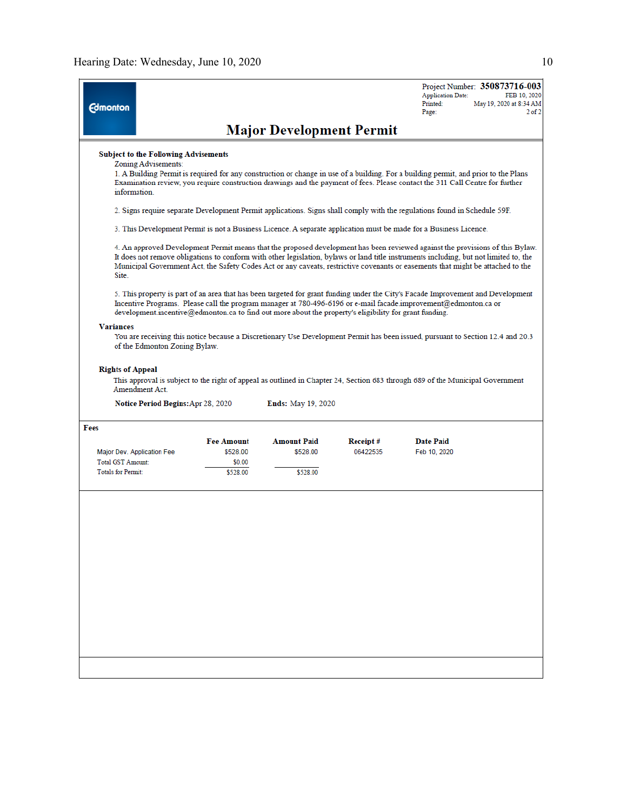| <b>Edmonton</b>           |                                                                                                                           |                    |                                                                                                        |          | Project Number: 350873716-003<br><b>Application Date:</b><br>FEB 10, 2020<br>Printed:<br>May 19, 2020 at 8:34 AM<br>$2$ of $2$<br>Page:                                                                                                                                                                                                                                                                   |  |  |  |
|---------------------------|---------------------------------------------------------------------------------------------------------------------------|--------------------|--------------------------------------------------------------------------------------------------------|----------|-----------------------------------------------------------------------------------------------------------------------------------------------------------------------------------------------------------------------------------------------------------------------------------------------------------------------------------------------------------------------------------------------------------|--|--|--|
|                           |                                                                                                                           |                    | <b>Major Development Permit</b>                                                                        |          |                                                                                                                                                                                                                                                                                                                                                                                                           |  |  |  |
|                           | <b>Subject to the Following Advisements</b><br>Zoning Advisements:<br>information.                                        |                    |                                                                                                        |          | 1. A Building Permit is required for any construction or change in use of a building. For a building permit, and prior to the Plans<br>Examination review, you require construction drawings and the payment of fees. Please contact the 311 Call Centre for further                                                                                                                                      |  |  |  |
|                           | 2. Signs require separate Development Permit applications. Signs shall comply with the regulations found in Schedule 59F. |                    |                                                                                                        |          |                                                                                                                                                                                                                                                                                                                                                                                                           |  |  |  |
|                           |                                                                                                                           |                    |                                                                                                        |          | 3. This Development Permit is not a Business Licence. A separate application must be made for a Business Licence.                                                                                                                                                                                                                                                                                         |  |  |  |
| Site.                     |                                                                                                                           |                    |                                                                                                        |          | 4. An approved Development Permit means that the proposed development has been reviewed against the provisions of this Bylaw.<br>It does not remove obligations to conform with other legislation, bylaws or land title instruments including, but not limited to, the<br>Municipal Government Act, the Safety Codes Act or any caveats, restrictive covenants or easements that might be attached to the |  |  |  |
|                           |                                                                                                                           |                    | development incentive@edmonton.ca to find out more about the property's eligibility for grant funding. |          | 5. This property is part of an area that has been targeted for grant funding under the City's Facade Improvement and Development<br>Incentive Programs. Please call the program manager at 780-496-6196 or e-mail facade improvement@edmonton.ca or                                                                                                                                                       |  |  |  |
| <b>Variances</b>          |                                                                                                                           |                    |                                                                                                        |          |                                                                                                                                                                                                                                                                                                                                                                                                           |  |  |  |
|                           | of the Edmonton Zoning Bylaw.                                                                                             |                    |                                                                                                        |          | You are receiving this notice because a Discretionary Use Development Permit has been issued, pursuant to Section 12.4 and 20.3                                                                                                                                                                                                                                                                           |  |  |  |
| <b>Rights of Appeal</b>   | Amendment Act.<br><b>Notice Period Begins: Apr 28, 2020</b>                                                               |                    | <b>Ends:</b> May 19, 2020                                                                              |          | This approval is subject to the right of appeal as outlined in Chapter 24, Section 683 through 689 of the Municipal Government                                                                                                                                                                                                                                                                            |  |  |  |
| Fees                      |                                                                                                                           |                    |                                                                                                        |          |                                                                                                                                                                                                                                                                                                                                                                                                           |  |  |  |
|                           |                                                                                                                           |                    |                                                                                                        |          |                                                                                                                                                                                                                                                                                                                                                                                                           |  |  |  |
|                           |                                                                                                                           | <b>Fee Amount</b>  | <b>Amount Paid</b>                                                                                     | Receipt# | <b>Date Paid</b>                                                                                                                                                                                                                                                                                                                                                                                          |  |  |  |
| Total GST Amount:         | Major Dev. Application Fee                                                                                                | \$528.00<br>\$0.00 | \$528.00                                                                                               | 06422535 | Feb 10, 2020                                                                                                                                                                                                                                                                                                                                                                                              |  |  |  |
| <b>Totals for Permit:</b> |                                                                                                                           | \$528.00           | \$528.00                                                                                               |          |                                                                                                                                                                                                                                                                                                                                                                                                           |  |  |  |
|                           |                                                                                                                           |                    |                                                                                                        |          |                                                                                                                                                                                                                                                                                                                                                                                                           |  |  |  |
|                           |                                                                                                                           |                    |                                                                                                        |          |                                                                                                                                                                                                                                                                                                                                                                                                           |  |  |  |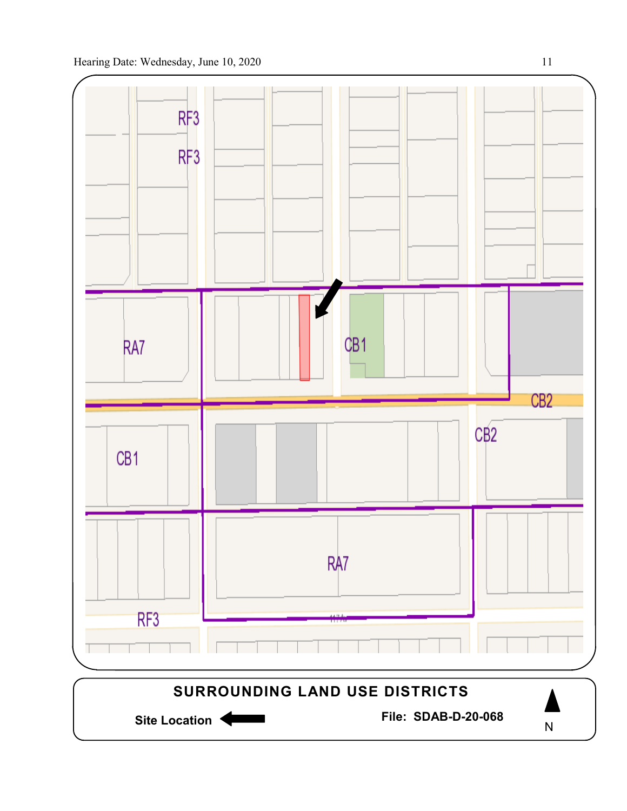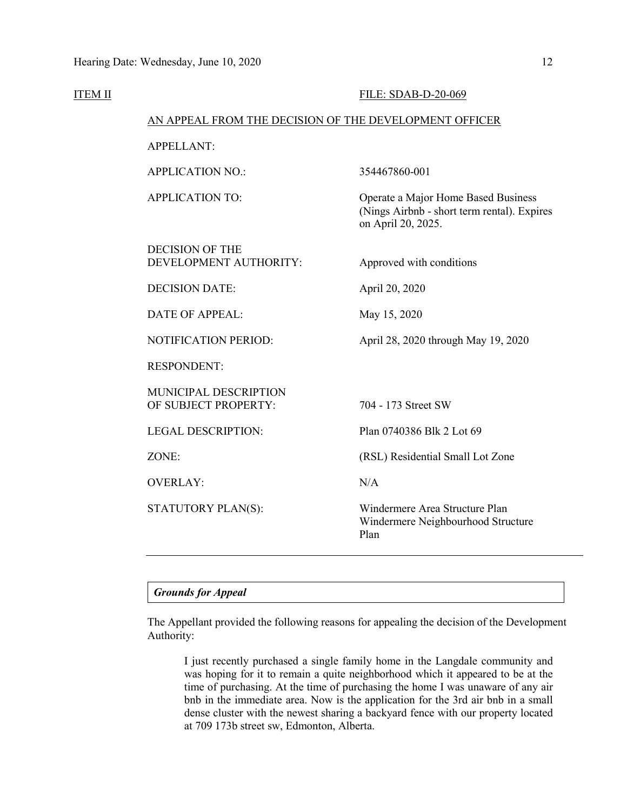**ITEM II** 

|                                                        | FILE: SDAB-D-20-069                                                                                      |
|--------------------------------------------------------|----------------------------------------------------------------------------------------------------------|
| AN APPEAL FROM THE DECISION OF THE DEVELOPMENT OFFICER |                                                                                                          |
| <b>APPELLANT:</b>                                      |                                                                                                          |
| <b>APPLICATION NO.:</b>                                | 354467860-001                                                                                            |
| <b>APPLICATION TO:</b>                                 | Operate a Major Home Based Business<br>(Nings Airbnb - short term rental). Expires<br>on April 20, 2025. |
| <b>DECISION OF THE</b><br>DEVELOPMENT AUTHORITY:       | Approved with conditions                                                                                 |
| <b>DECISION DATE:</b>                                  | April 20, 2020                                                                                           |
| DATE OF APPEAL:                                        | May 15, 2020                                                                                             |
| <b>NOTIFICATION PERIOD:</b>                            | April 28, 2020 through May 19, 2020                                                                      |
| <b>RESPONDENT:</b>                                     |                                                                                                          |
| MUNICIPAL DESCRIPTION<br>OF SUBJECT PROPERTY:          | 704 - 173 Street SW                                                                                      |
| <b>LEGAL DESCRIPTION:</b>                              | Plan 0740386 Blk 2 Lot 69                                                                                |
| ZONE:                                                  | (RSL) Residential Small Lot Zone                                                                         |
| <b>OVERLAY:</b>                                        | N/A                                                                                                      |
| STATUTORY PLAN(S):                                     | Windermere Area Structure Plan<br>Windermere Neighbourhood Structure<br>Plan                             |
|                                                        |                                                                                                          |

#### *Grounds for Appeal*

The Appellant provided the following reasons for appealing the decision of the Development Authority:

I just recently purchased a single family home in the Langdale community and was hoping for it to remain a quite neighborhood which it appeared to be at the time of purchasing. At the time of purchasing the home I was unaware of any air bnb in the immediate area. Now is the application for the 3rd air bnb in a small dense cluster with the newest sharing a backyard fence with our property located at 709 173b street sw, Edmonton, Alberta.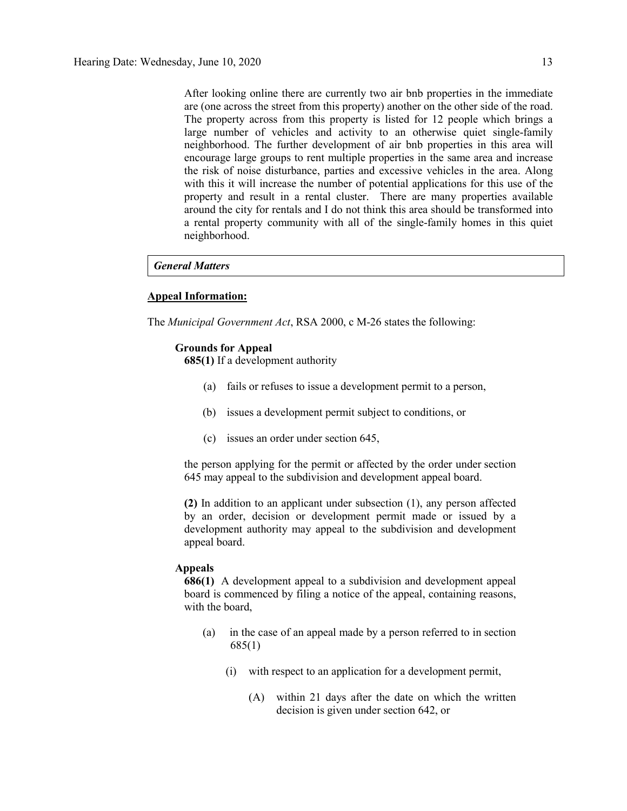After looking online there are currently two air bnb properties in the immediate are (one across the street from this property) another on the other side of the road. The property across from this property is listed for 12 people which brings a large number of vehicles and activity to an otherwise quiet single-family neighborhood. The further development of air bnb properties in this area will encourage large groups to rent multiple properties in the same area and increase the risk of noise disturbance, parties and excessive vehicles in the area. Along with this it will increase the number of potential applications for this use of the property and result in a rental cluster. There are many properties available around the city for rentals and I do not think this area should be transformed into a rental property community with all of the single-family homes in this quiet neighborhood.

#### *General Matters*

#### **Appeal Information:**

The *Municipal Government Act*, RSA 2000, c M-26 states the following:

#### **Grounds for Appeal**

**685(1)** If a development authority

- (a) fails or refuses to issue a development permit to a person,
- (b) issues a development permit subject to conditions, or
- (c) issues an order under section 645,

the person applying for the permit or affected by the order under section 645 may appeal to the subdivision and development appeal board.

**(2)** In addition to an applicant under subsection (1), any person affected by an order, decision or development permit made or issued by a development authority may appeal to the subdivision and development appeal board.

#### **Appeals**

**686(1)** A development appeal to a subdivision and development appeal board is commenced by filing a notice of the appeal, containing reasons, with the board,

- (a) in the case of an appeal made by a person referred to in section 685(1)
	- (i) with respect to an application for a development permit,
		- (A) within 21 days after the date on which the written decision is given under section 642, or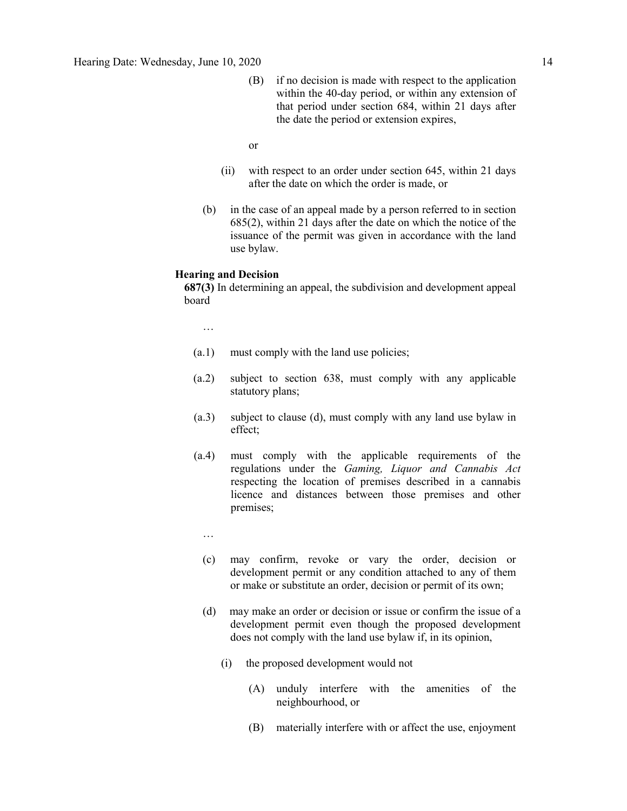- (B) if no decision is made with respect to the application within the 40-day period, or within any extension of that period under section 684, within 21 days after the date the period or extension expires,
- or
- (ii) with respect to an order under section 645, within 21 days after the date on which the order is made, or
- (b) in the case of an appeal made by a person referred to in section 685(2), within 21 days after the date on which the notice of the issuance of the permit was given in accordance with the land use bylaw.

#### **Hearing and Decision**

**687(3)** In determining an appeal, the subdivision and development appeal board

…

- (a.1) must comply with the land use policies;
- (a.2) subject to section 638, must comply with any applicable statutory plans;
- (a.3) subject to clause (d), must comply with any land use bylaw in effect;
- (a.4) must comply with the applicable requirements of the regulations under the *Gaming, Liquor and Cannabis Act* respecting the location of premises described in a cannabis licence and distances between those premises and other premises;
	- …
	- (c) may confirm, revoke or vary the order, decision or development permit or any condition attached to any of them or make or substitute an order, decision or permit of its own;
	- (d) may make an order or decision or issue or confirm the issue of a development permit even though the proposed development does not comply with the land use bylaw if, in its opinion,
		- (i) the proposed development would not
			- (A) unduly interfere with the amenities of the neighbourhood, or
			- (B) materially interfere with or affect the use, enjoyment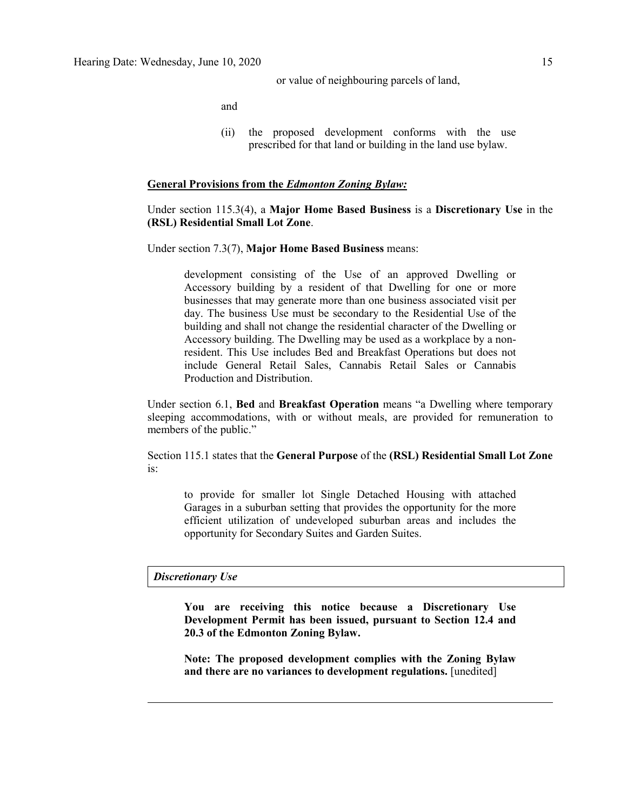or value of neighbouring parcels of land,

and

(ii) the proposed development conforms with the use prescribed for that land or building in the land use bylaw.

#### **General Provisions from the** *Edmonton Zoning Bylaw:*

#### Under section 115.3(4), a **Major Home Based Business** is a **Discretionary Use** in the **(RSL) Residential Small Lot Zone**.

Under section 7.3(7), **Major Home Based Business** means:

development consisting of the Use of an approved Dwelling or Accessory building by a resident of that Dwelling for one or more businesses that may generate more than one business associated visit per day. The business Use must be secondary to the Residential Use of the building and shall not change the residential character of the Dwelling or Accessory building. The Dwelling may be used as a workplace by a nonresident. This Use includes Bed and Breakfast Operations but does not include General Retail Sales, Cannabis Retail Sales or Cannabis Production and Distribution.

Under section 6.1, **Bed** and **Breakfast Operation** means "a Dwelling where temporary sleeping accommodations, with or without meals, are provided for remuneration to members of the public."

Section 115.1 states that the **General Purpose** of the **(RSL) Residential Small Lot Zone**  is:

to provide for smaller lot Single Detached Housing with attached Garages in a suburban setting that provides the opportunity for the more efficient utilization of undeveloped suburban areas and includes the opportunity for Secondary Suites and Garden Suites.

#### *Discretionary Use*

**You are receiving this notice because a Discretionary Use Development Permit has been issued, pursuant to Section 12.4 and 20.3 of the Edmonton Zoning Bylaw.**

**Note: The proposed development complies with the Zoning Bylaw**  and there are no variances to development regulations. [unedited]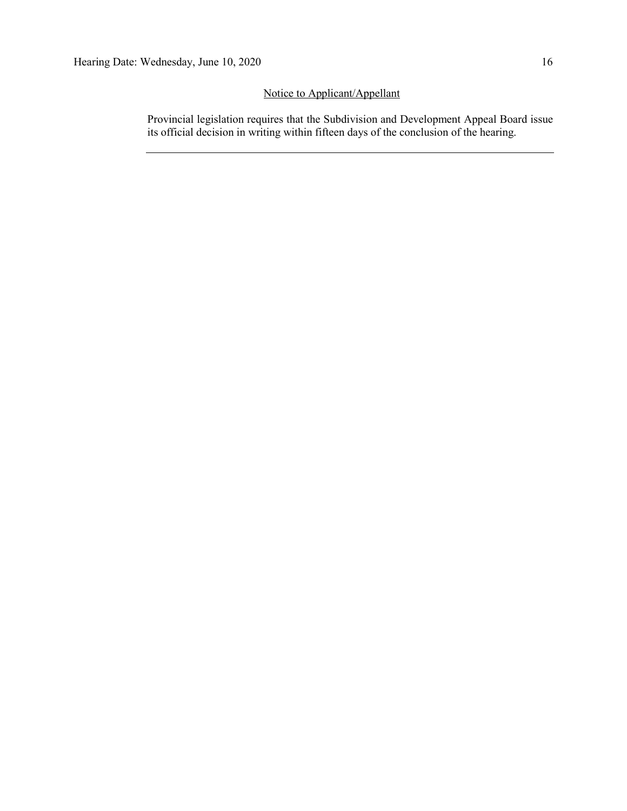## Notice to Applicant/Appellant

Provincial legislation requires that the Subdivision and Development Appeal Board issue its official decision in writing within fifteen days of the conclusion of the hearing.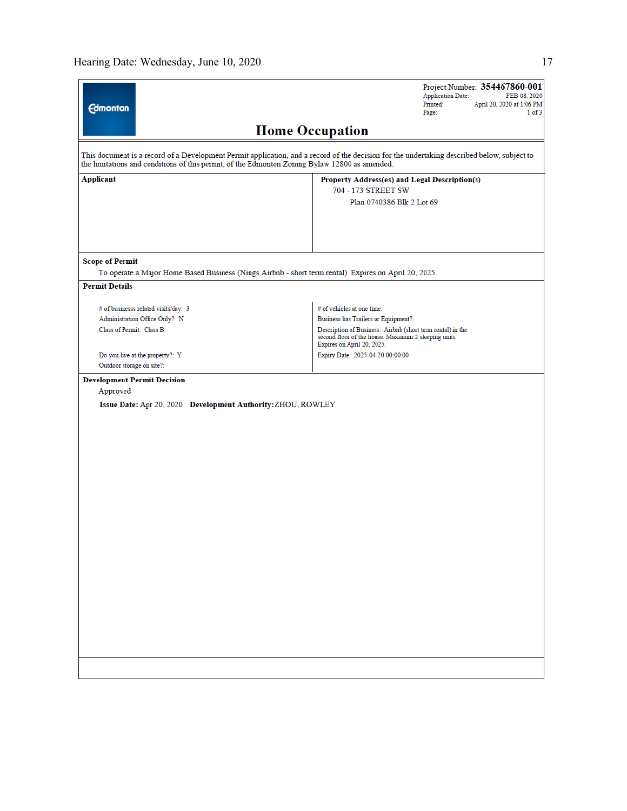|                                    |                                                                                                       | Project Number: 354467860-001<br><b>Application Date:</b><br>FEB 08, 2020                                                                        |
|------------------------------------|-------------------------------------------------------------------------------------------------------|--------------------------------------------------------------------------------------------------------------------------------------------------|
| <b>Edmonton</b>                    |                                                                                                       | Printed:<br>April 20, 2020 at 1:06 PM<br>Page:<br>$1$ of $3$                                                                                     |
|                                    |                                                                                                       | <b>Home Occupation</b>                                                                                                                           |
|                                    |                                                                                                       |                                                                                                                                                  |
|                                    | the limitations and conditions of this permit, of the Edmonton Zoning Bylaw 12800 as amended.         | This document is a record of a Development Permit application, and a record of the decision for the undertaking described below, subject to      |
| Applicant                          |                                                                                                       | Property Address(es) and Legal Description(s)                                                                                                    |
|                                    |                                                                                                       | 704 - 173 STREET SW                                                                                                                              |
|                                    |                                                                                                       | Plan 0740386 Blk 2 Lot 69                                                                                                                        |
|                                    |                                                                                                       |                                                                                                                                                  |
|                                    |                                                                                                       |                                                                                                                                                  |
|                                    |                                                                                                       |                                                                                                                                                  |
| <b>Scope of Permit</b>             |                                                                                                       |                                                                                                                                                  |
|                                    | To operate a Major Home Based Business (Nings Airbnb - short term rental). Expires on April 20, 2025. |                                                                                                                                                  |
| <b>Permit Details</b>              |                                                                                                       |                                                                                                                                                  |
|                                    | # of businesss related visits/day: 3                                                                  | # of vehicles at one time:                                                                                                                       |
|                                    | Administration Office Only?: N                                                                        | Business has Trailers or Equipment?:                                                                                                             |
| Class of Permit: Class B           |                                                                                                       | Description of Business: Airbnb (short term rental) in the<br>second floor of the house. Maximum 2 sleeping units.<br>Expires on April 20, 2025. |
|                                    | Do you live at the property?: Y                                                                       | Expiry Date: 2025-04-20 00:00:00                                                                                                                 |
| Outdoor storage on site?:          |                                                                                                       |                                                                                                                                                  |
| <b>Development Permit Decision</b> |                                                                                                       |                                                                                                                                                  |
| Approved                           |                                                                                                       |                                                                                                                                                  |
|                                    | Issue Date: Apr 20, 2020 Development Authority: ZHOU, ROWLEY                                          |                                                                                                                                                  |
|                                    |                                                                                                       |                                                                                                                                                  |
|                                    |                                                                                                       |                                                                                                                                                  |
|                                    |                                                                                                       |                                                                                                                                                  |
|                                    |                                                                                                       |                                                                                                                                                  |
|                                    |                                                                                                       |                                                                                                                                                  |
|                                    |                                                                                                       |                                                                                                                                                  |
|                                    |                                                                                                       |                                                                                                                                                  |
|                                    |                                                                                                       |                                                                                                                                                  |
|                                    |                                                                                                       |                                                                                                                                                  |
|                                    |                                                                                                       |                                                                                                                                                  |
|                                    |                                                                                                       |                                                                                                                                                  |
|                                    |                                                                                                       |                                                                                                                                                  |
|                                    |                                                                                                       |                                                                                                                                                  |
|                                    |                                                                                                       |                                                                                                                                                  |
|                                    |                                                                                                       |                                                                                                                                                  |
|                                    |                                                                                                       |                                                                                                                                                  |
|                                    |                                                                                                       |                                                                                                                                                  |
|                                    |                                                                                                       |                                                                                                                                                  |
|                                    |                                                                                                       |                                                                                                                                                  |
|                                    |                                                                                                       |                                                                                                                                                  |
|                                    |                                                                                                       |                                                                                                                                                  |
|                                    |                                                                                                       |                                                                                                                                                  |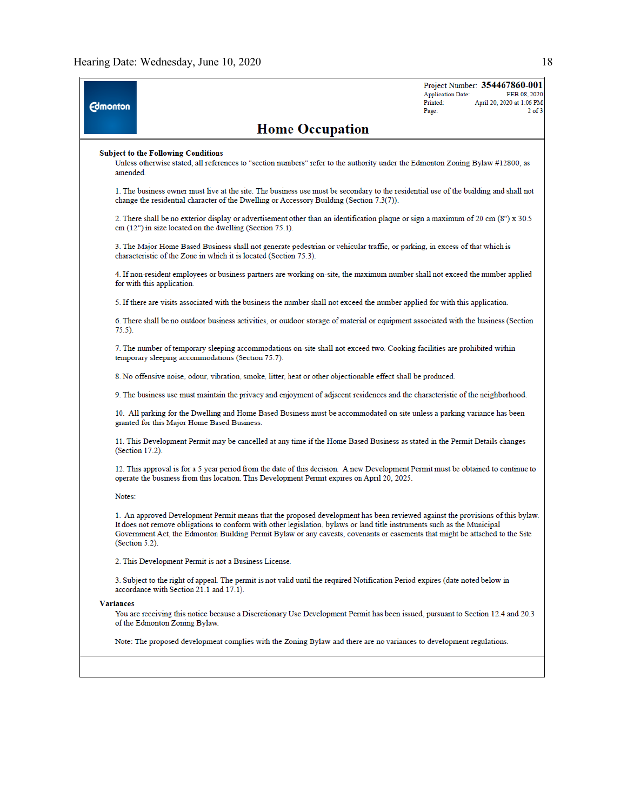| <b>Edmonton</b>  |                                                                                                                                                                                                                                                                                                                                                                                                                | <b>Application Date:</b><br>Printed:<br>Page: | Project Number: 354467860-001<br>FEB 08, 2020<br>April 20, 2020 at 1:06 PM<br>$2$ of $3$ |
|------------------|----------------------------------------------------------------------------------------------------------------------------------------------------------------------------------------------------------------------------------------------------------------------------------------------------------------------------------------------------------------------------------------------------------------|-----------------------------------------------|------------------------------------------------------------------------------------------|
|                  | <b>Home Occupation</b>                                                                                                                                                                                                                                                                                                                                                                                         |                                               |                                                                                          |
| amended.         | <b>Subject to the Following Conditions</b><br>Unless otherwise stated, all references to "section numbers" refer to the authority under the Edmonton Zoning Bylaw #12800, as                                                                                                                                                                                                                                   |                                               |                                                                                          |
|                  | 1. The business owner must live at the site. The business use must be secondary to the residential use of the building and shall not<br>change the residential character of the Dwelling or Accessory Building (Section 7.3(7)).                                                                                                                                                                               |                                               |                                                                                          |
|                  | 2. There shall be no exterior display or advertisement other than an identification plaque or sign a maximum of 20 cm (8") x 30.5<br>cm (12") in size located on the dwelling (Section 75.1).                                                                                                                                                                                                                  |                                               |                                                                                          |
|                  | 3. The Major Home Based Business shall not generate pedestrian or vehicular traffic, or parking, in excess of that which is<br>characteristic of the Zone in which it is located (Section 75.3).                                                                                                                                                                                                               |                                               |                                                                                          |
|                  | 4. If non-resident employees or business partners are working on-site, the maximum number shall not exceed the number applied<br>for with this application.                                                                                                                                                                                                                                                    |                                               |                                                                                          |
|                  | 5. If there are visits associated with the business the number shall not exceed the number applied for with this application.                                                                                                                                                                                                                                                                                  |                                               |                                                                                          |
| 75.5).           | 6. There shall be no outdoor business activities, or outdoor storage of material or equipment associated with the business (Section                                                                                                                                                                                                                                                                            |                                               |                                                                                          |
|                  | 7. The number of temporary sleeping accommodations on-site shall not exceed two. Cooking facilities are prohibited within<br>temporary sleeping accommodations (Section 75.7).                                                                                                                                                                                                                                 |                                               |                                                                                          |
|                  | 8. No offensive noise, odour, vibration, smoke, litter, heat or other objectionable effect shall be produced.                                                                                                                                                                                                                                                                                                  |                                               |                                                                                          |
|                  | 9. The business use must maintain the privacy and enjoyment of adjacent residences and the characteristic of the neighborhood.                                                                                                                                                                                                                                                                                 |                                               |                                                                                          |
|                  | 10. All parking for the Dwelling and Home Based Business must be accommodated on site unless a parking variance has been<br>granted for this Major Home Based Business.                                                                                                                                                                                                                                        |                                               |                                                                                          |
|                  | 11. This Development Permit may be cancelled at any time if the Home Based Business as stated in the Permit Details changes<br>(Section 17.2).                                                                                                                                                                                                                                                                 |                                               |                                                                                          |
|                  | 12. This approval is for a 5 year period from the date of this decision. A new Development Permit must be obtained to continue to<br>operate the business from this location. This Development Permit expires on April 20, 2025.                                                                                                                                                                               |                                               |                                                                                          |
| Notes:           |                                                                                                                                                                                                                                                                                                                                                                                                                |                                               |                                                                                          |
|                  | 1. An approved Development Permit means that the proposed development has been reviewed against the provisions of this bylaw.<br>It does not remove obligations to conform with other legislation, bylaws or land title instruments such as the Municipal<br>Government Act, the Edmonton Building Permit Bylaw or any caveats, covenants or easements that might be attached to the Site<br>$(Section 5.2)$ . |                                               |                                                                                          |
|                  | 2. This Development Permit is not a Business License.                                                                                                                                                                                                                                                                                                                                                          |                                               |                                                                                          |
|                  | 3. Subject to the right of appeal. The permit is not valid until the required Notification Period expires (date noted below in<br>accordance with Section 21.1 and 17.1).                                                                                                                                                                                                                                      |                                               |                                                                                          |
| <b>Variances</b> |                                                                                                                                                                                                                                                                                                                                                                                                                |                                               |                                                                                          |
|                  | You are receiving this notice because a Discretionary Use Development Permit has been issued, pursuant to Section 12.4 and 20.3<br>of the Edmonton Zoning Bylaw.                                                                                                                                                                                                                                               |                                               |                                                                                          |
|                  | Note: The proposed development complies with the Zoning Bylaw and there are no variances to development regulations.                                                                                                                                                                                                                                                                                           |                                               |                                                                                          |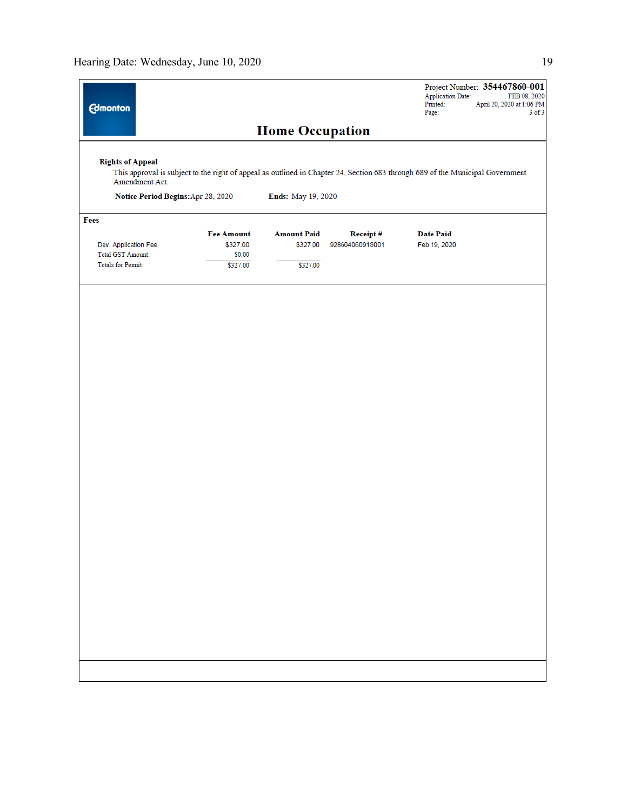| <b>Edmonton</b>                           |                                                                                                                                |                                |                                    | <b>Application Date:</b><br>Printed:<br>Page: | Project Number: 354467860-001<br>FEB 08, 2020<br>April 20, 2020 at 1:06 PM<br>$3$ of $3$ |
|-------------------------------------------|--------------------------------------------------------------------------------------------------------------------------------|--------------------------------|------------------------------------|-----------------------------------------------|------------------------------------------------------------------------------------------|
|                                           |                                                                                                                                | <b>Home Occupation</b>         |                                    |                                               |                                                                                          |
| <b>Rights of Appeal</b><br>Amendment Act. | This approval is subject to the right of appeal as outlined in Chapter 24, Section 683 through 689 of the Municipal Government |                                |                                    |                                               |                                                                                          |
| Notice Period Begins: Apr 28, 2020        |                                                                                                                                | Ends: May 19, 2020             |                                    |                                               |                                                                                          |
| Fees                                      |                                                                                                                                |                                |                                    |                                               |                                                                                          |
| Dev. Application Fee                      | <b>Fee Amount</b><br>\$327.00                                                                                                  | <b>Amount Paid</b><br>\$327.00 | <b>Receipt#</b><br>92860406091S001 | <b>Date Paid</b><br>Feb 19, 2020              |                                                                                          |
| Total GST Amount:                         | \$0.00                                                                                                                         |                                |                                    |                                               |                                                                                          |
| <b>Totals for Permit:</b>                 | \$327.00                                                                                                                       | \$327.00                       |                                    |                                               |                                                                                          |
|                                           |                                                                                                                                |                                |                                    |                                               |                                                                                          |
|                                           |                                                                                                                                |                                |                                    |                                               |                                                                                          |
|                                           |                                                                                                                                |                                |                                    |                                               |                                                                                          |
|                                           |                                                                                                                                |                                |                                    |                                               |                                                                                          |
|                                           |                                                                                                                                |                                |                                    |                                               |                                                                                          |
|                                           |                                                                                                                                |                                |                                    |                                               |                                                                                          |
|                                           |                                                                                                                                |                                |                                    |                                               |                                                                                          |
|                                           |                                                                                                                                |                                |                                    |                                               |                                                                                          |
|                                           |                                                                                                                                |                                |                                    |                                               |                                                                                          |
|                                           |                                                                                                                                |                                |                                    |                                               |                                                                                          |
|                                           |                                                                                                                                |                                |                                    |                                               |                                                                                          |
|                                           |                                                                                                                                |                                |                                    |                                               |                                                                                          |
|                                           |                                                                                                                                |                                |                                    |                                               |                                                                                          |
|                                           |                                                                                                                                |                                |                                    |                                               |                                                                                          |
|                                           |                                                                                                                                |                                |                                    |                                               |                                                                                          |
|                                           |                                                                                                                                |                                |                                    |                                               |                                                                                          |
|                                           |                                                                                                                                |                                |                                    |                                               |                                                                                          |
|                                           |                                                                                                                                |                                |                                    |                                               |                                                                                          |
|                                           |                                                                                                                                |                                |                                    |                                               |                                                                                          |
|                                           |                                                                                                                                |                                |                                    |                                               |                                                                                          |
|                                           |                                                                                                                                |                                |                                    |                                               |                                                                                          |
|                                           |                                                                                                                                |                                |                                    |                                               |                                                                                          |
|                                           |                                                                                                                                |                                |                                    |                                               |                                                                                          |
|                                           |                                                                                                                                |                                |                                    |                                               |                                                                                          |
|                                           |                                                                                                                                |                                |                                    |                                               |                                                                                          |
|                                           |                                                                                                                                |                                |                                    |                                               |                                                                                          |
|                                           |                                                                                                                                |                                |                                    |                                               |                                                                                          |
|                                           |                                                                                                                                |                                |                                    |                                               |                                                                                          |
|                                           |                                                                                                                                |                                |                                    |                                               |                                                                                          |
|                                           |                                                                                                                                |                                |                                    |                                               |                                                                                          |
|                                           |                                                                                                                                |                                |                                    |                                               |                                                                                          |
|                                           |                                                                                                                                |                                |                                    |                                               |                                                                                          |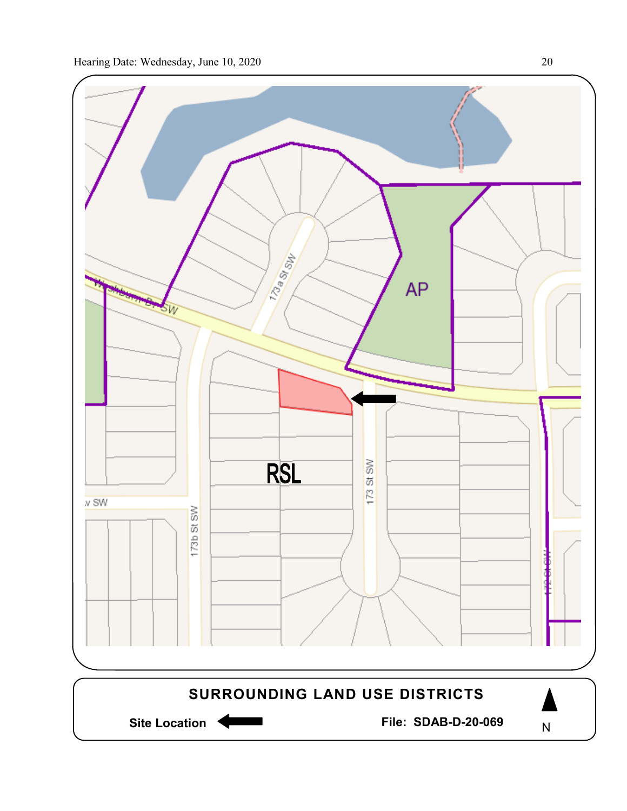